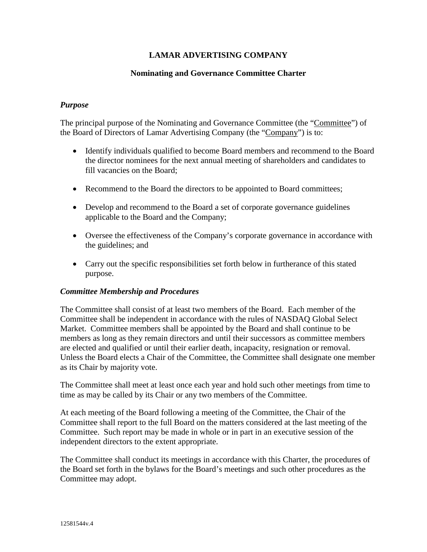# **LAMAR ADVERTISING COMPANY**

## **Nominating and Governance Committee Charter**

## *Purpose*

The principal purpose of the Nominating and Governance Committee (the "Committee") of the Board of Directors of Lamar Advertising Company (the "Company") is to:

- Identify individuals qualified to become Board members and recommend to the Board the director nominees for the next annual meeting of shareholders and candidates to fill vacancies on the Board;
- Recommend to the Board the directors to be appointed to Board committees;
- Develop and recommend to the Board a set of corporate governance guidelines applicable to the Board and the Company;
- Oversee the effectiveness of the Company's corporate governance in accordance with the guidelines; and
- Carry out the specific responsibilities set forth below in furtherance of this stated purpose.

#### *Committee Membership and Procedures*

The Committee shall consist of at least two members of the Board. Each member of the Committee shall be independent in accordance with the rules of NASDAQ Global Select Market. Committee members shall be appointed by the Board and shall continue to be members as long as they remain directors and until their successors as committee members are elected and qualified or until their earlier death, incapacity, resignation or removal. Unless the Board elects a Chair of the Committee, the Committee shall designate one member as its Chair by majority vote.

The Committee shall meet at least once each year and hold such other meetings from time to time as may be called by its Chair or any two members of the Committee.

At each meeting of the Board following a meeting of the Committee, the Chair of the Committee shall report to the full Board on the matters considered at the last meeting of the Committee. Such report may be made in whole or in part in an executive session of the independent directors to the extent appropriate.

The Committee shall conduct its meetings in accordance with this Charter, the procedures of the Board set forth in the bylaws for the Board's meetings and such other procedures as the Committee may adopt.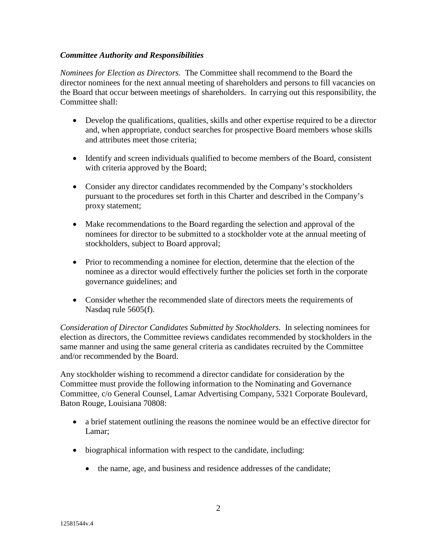## *Committee Authority and Responsibilities*

*Nominees for Election as Directors.* The Committee shall recommend to the Board the director nominees for the next annual meeting of shareholders and persons to fill vacancies on the Board that occur between meetings of shareholders. In carrying out this responsibility, the Committee shall:

- Develop the qualifications, qualities, skills and other expertise required to be a director and, when appropriate, conduct searches for prospective Board members whose skills and attributes meet those criteria;
- Identify and screen individuals qualified to become members of the Board, consistent with criteria approved by the Board;
- Consider any director candidates recommended by the Company's stockholders pursuant to the procedures set forth in this Charter and described in the Company's proxy statement;
- Make recommendations to the Board regarding the selection and approval of the nominees for director to be submitted to a stockholder vote at the annual meeting of stockholders, subject to Board approval;
- Prior to recommending a nominee for election, determine that the election of the nominee as a director would effectively further the policies set forth in the corporate governance guidelines; and
- Consider whether the recommended slate of directors meets the requirements of Nasdaq rule 5605(f).

*Consideration of Director Candidates Submitted by Stockholders.* In selecting nominees for election as directors, the Committee reviews candidates recommended by stockholders in the same manner and using the same general criteria as candidates recruited by the Committee and/or recommended by the Board.

Any stockholder wishing to recommend a director candidate for consideration by the Committee must provide the following information to the Nominating and Governance Committee, c/o General Counsel, Lamar Advertising Company, 5321 Corporate Boulevard, Baton Rouge, Louisiana 70808:

- a brief statement outlining the reasons the nominee would be an effective director for Lamar;
- biographical information with respect to the candidate, including:
	- the name, age, and business and residence addresses of the candidate;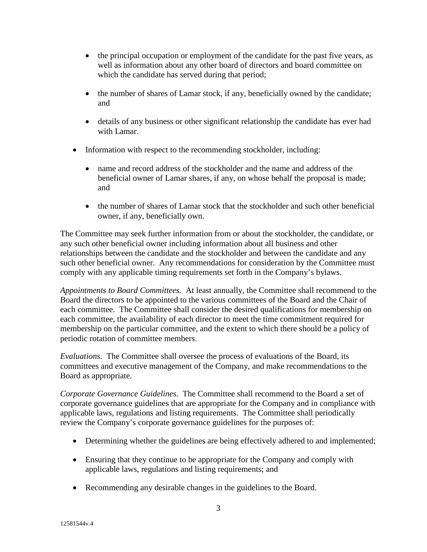- the principal occupation or employment of the candidate for the past five years, as well as information about any other board of directors and board committee on which the candidate has served during that period;
- the number of shares of Lamar stock, if any, beneficially owned by the candidate; and
- details of any business or other significant relationship the candidate has ever had with Lamar.
- Information with respect to the recommending stockholder, including:
	- name and record address of the stockholder and the name and address of the beneficial owner of Lamar shares, if any, on whose behalf the proposal is made; and
	- the number of shares of Lamar stock that the stockholder and such other beneficial owner, if any, beneficially own.

The Committee may seek further information from or about the stockholder, the candidate, or any such other beneficial owner including information about all business and other relationships between the candidate and the stockholder and between the candidate and any such other beneficial owner. Any recommendations for consideration by the Committee must comply with any applicable timing requirements set forth in the Company's bylaws.

*Appointments to Board Committees.* At least annually, the Committee shall recommend to the Board the directors to be appointed to the various committees of the Board and the Chair of each committee. The Committee shall consider the desired qualifications for membership on each committee, the availability of each director to meet the time commitment required for membership on the particular committee, and the extent to which there should be a policy of periodic rotation of committee members.

*Evaluations.* The Committee shall oversee the process of evaluations of the Board, its committees and executive management of the Company, and make recommendations to the Board as appropriate.

*Corporate Governance Guidelines.* The Committee shall recommend to the Board a set of corporate governance guidelines that are appropriate for the Company and in compliance with applicable laws, regulations and listing requirements. The Committee shall periodically review the Company's corporate governance guidelines for the purposes of:

- Determining whether the guidelines are being effectively adhered to and implemented;
- Ensuring that they continue to be appropriate for the Company and comply with applicable laws, regulations and listing requirements; and
- Recommending any desirable changes in the guidelines to the Board.